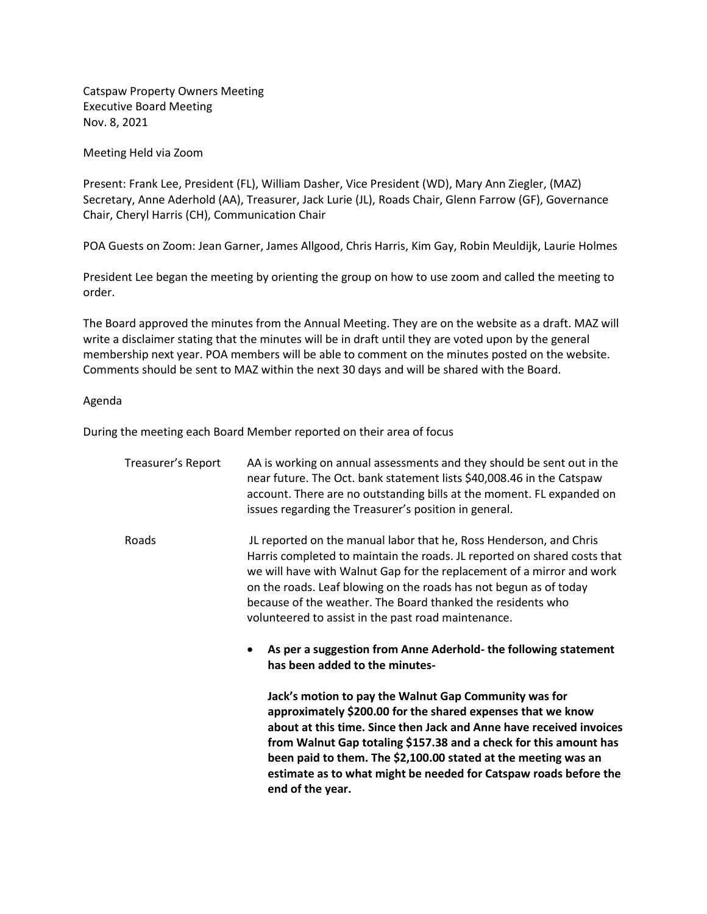Catspaw Property Owners Meeting Executive Board Meeting Nov. 8, 2021

Meeting Held via Zoom

Present: Frank Lee, President (FL), William Dasher, Vice President (WD), Mary Ann Ziegler, (MAZ) Secretary, Anne Aderhold (AA), Treasurer, Jack Lurie (JL), Roads Chair, Glenn Farrow (GF), Governance Chair, Cheryl Harris (CH), Communication Chair

POA Guests on Zoom: Jean Garner, James Allgood, Chris Harris, Kim Gay, Robin Meuldijk, Laurie Holmes

President Lee began the meeting by orienting the group on how to use zoom and called the meeting to order.

The Board approved the minutes from the Annual Meeting. They are on the website as a draft. MAZ will write a disclaimer stating that the minutes will be in draft until they are voted upon by the general membership next year. POA members will be able to comment on the minutes posted on the website. Comments should be sent to MAZ within the next 30 days and will be shared with the Board.

## Agenda

During the meeting each Board Member reported on their area of focus

| Treasurer's Report | AA is working on annual assessments and they should be sent out in the<br>near future. The Oct. bank statement lists \$40,008.46 in the Catspaw<br>account. There are no outstanding bills at the moment. FL expanded on<br>issues regarding the Treasurer's position in general.                                                                                                                                          |
|--------------------|----------------------------------------------------------------------------------------------------------------------------------------------------------------------------------------------------------------------------------------------------------------------------------------------------------------------------------------------------------------------------------------------------------------------------|
| Roads              | JL reported on the manual labor that he, Ross Henderson, and Chris<br>Harris completed to maintain the roads. JL reported on shared costs that<br>we will have with Walnut Gap for the replacement of a mirror and work<br>on the roads. Leaf blowing on the roads has not begun as of today<br>because of the weather. The Board thanked the residents who<br>volunteered to assist in the past road maintenance.         |
|                    | As per a suggestion from Anne Aderhold- the following statement<br>has been added to the minutes-                                                                                                                                                                                                                                                                                                                          |
|                    | Jack's motion to pay the Walnut Gap Community was for<br>approximately \$200.00 for the shared expenses that we know<br>about at this time. Since then Jack and Anne have received invoices<br>from Walnut Gap totaling \$157.38 and a check for this amount has<br>been paid to them. The \$2,100.00 stated at the meeting was an<br>estimate as to what might be needed for Catspaw roads before the<br>end of the year. |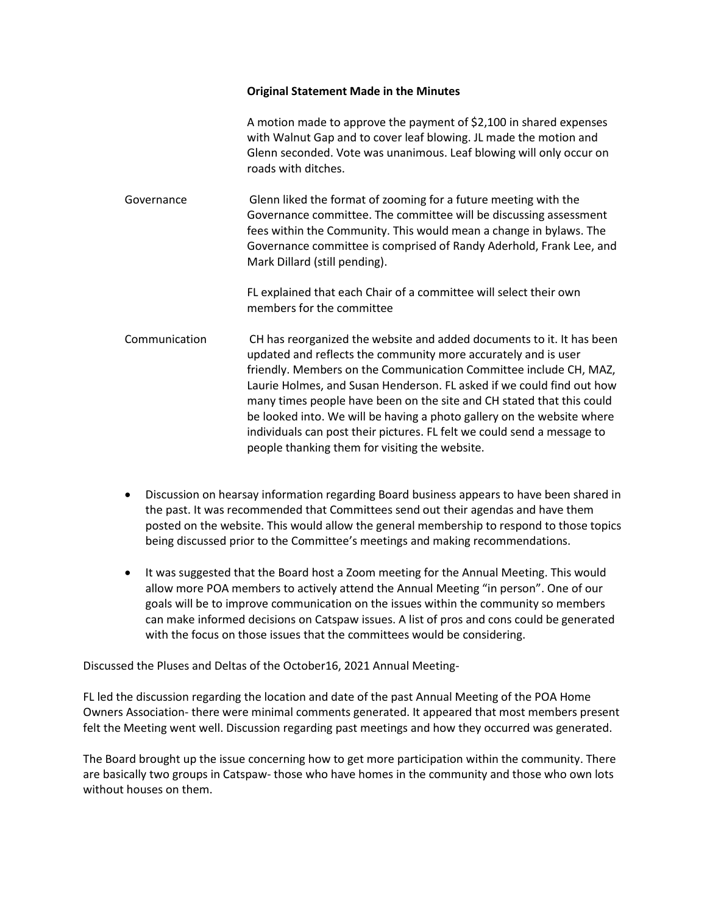## **Original Statement Made in the Minutes**

A motion made to approve the payment of \$2,100 in shared expenses with Walnut Gap and to cover leaf blowing. JL made the motion and Glenn seconded. Vote was unanimous. Leaf blowing will only occur on roads with ditches.

Governance Glenn liked the format of zooming for a future meeting with the Governance committee. The committee will be discussing assessment fees within the Community. This would mean a change in bylaws. The Governance committee is comprised of Randy Aderhold, Frank Lee, and Mark Dillard (still pending).

> FL explained that each Chair of a committee will select their own members for the committee

- Communication CH has reorganized the website and added documents to it. It has been updated and reflects the community more accurately and is user friendly. Members on the Communication Committee include CH, MAZ, Laurie Holmes, and Susan Henderson. FL asked if we could find out how many times people have been on the site and CH stated that this could be looked into. We will be having a photo gallery on the website where individuals can post their pictures. FL felt we could send a message to people thanking them for visiting the website.
- Discussion on hearsay information regarding Board business appears to have been shared in the past. It was recommended that Committees send out their agendas and have them posted on the website. This would allow the general membership to respond to those topics being discussed prior to the Committee's meetings and making recommendations.
- It was suggested that the Board host a Zoom meeting for the Annual Meeting. This would allow more POA members to actively attend the Annual Meeting "in person". One of our goals will be to improve communication on the issues within the community so members can make informed decisions on Catspaw issues. A list of pros and cons could be generated with the focus on those issues that the committees would be considering.

Discussed the Pluses and Deltas of the October16, 2021 Annual Meeting-

FL led the discussion regarding the location and date of the past Annual Meeting of the POA Home Owners Association- there were minimal comments generated. It appeared that most members present felt the Meeting went well. Discussion regarding past meetings and how they occurred was generated.

The Board brought up the issue concerning how to get more participation within the community. There are basically two groups in Catspaw- those who have homes in the community and those who own lots without houses on them.